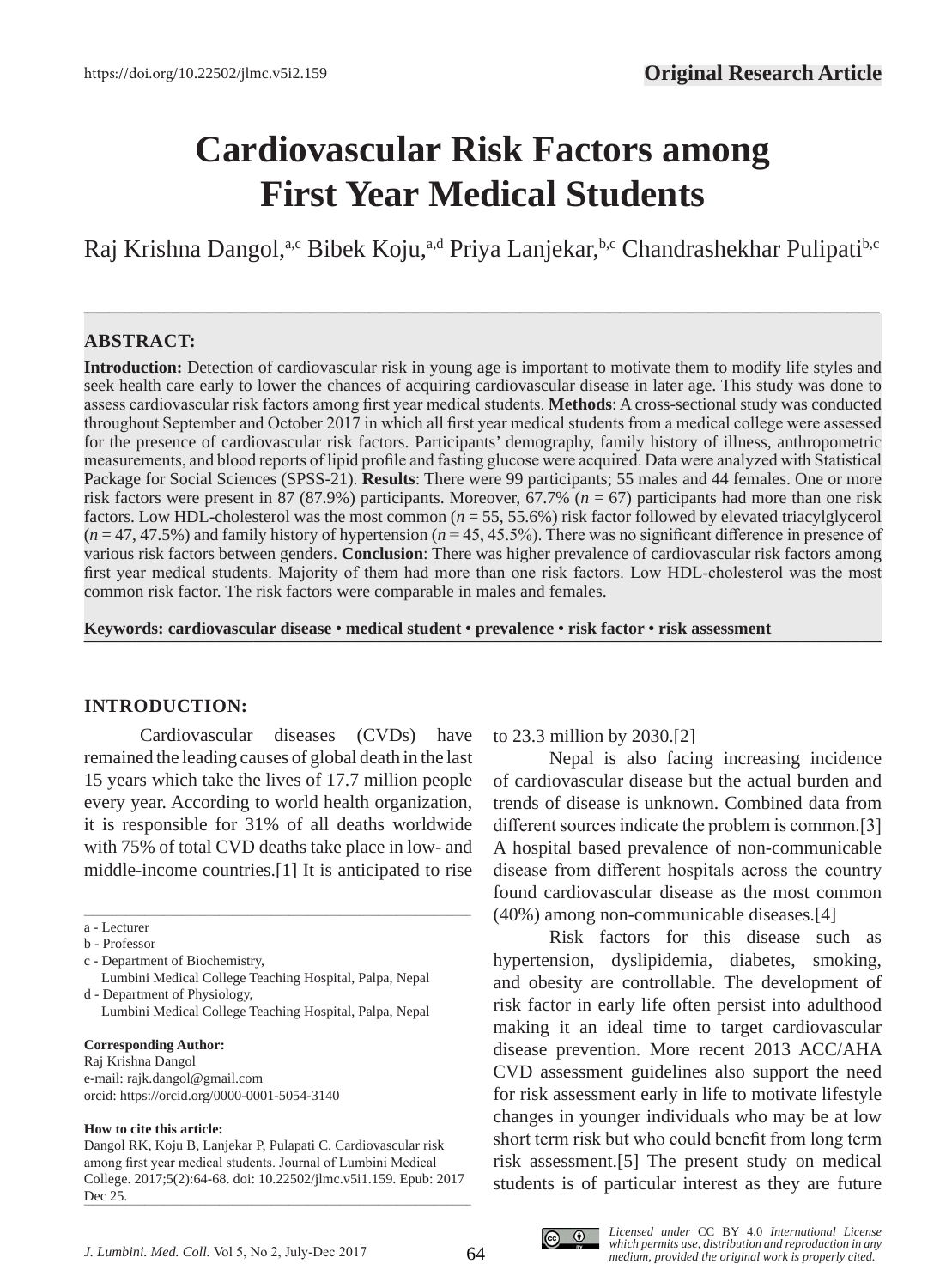# **Cardiovascular Risk Factors among First Year Medical Students**

Raj Krishna Dangol,<sup>a,c</sup> Bibek Koju,<sup>a,d</sup> Priya Lanjekar,<sup>b,c</sup> Chandrashekhar Pulipati<sup>b,c</sup>

**—–—————————————————————————————————————————————**

# **ABSTRACT:**

**Introduction:** Detection of cardiovascular risk in young age is important to motivate them to modify life styles and seek health care early to lower the chances of acquiring cardiovascular disease in later age. This study was done to assess cardiovascular risk factors among first year medical students. **Methods**: A cross-sectional study was conducted throughout September and October 2017 in which all first year medical students from a medical college were assessed for the presence of cardiovascular risk factors. Participants' demography, family history of illness, anthropometric measurements, and blood reports of lipid profile and fasting glucose were acquired. Data were analyzed with Statistical Package for Social Sciences (SPSS-21). **Results**: There were 99 participants; 55 males and 44 females. One or more risk factors were present in 87 (87.9%) participants. Moreover, 67.7% (*n* = 67) participants had more than one risk factors. Low HDL-cholesterol was the most common (*n* = 55, 55.6%) risk factor followed by elevated triacylglycerol (*n* = 47, 47.5%) and family history of hypertension (*n* = 45, 45.5%). There was no significant difference in presence of various risk factors between genders. **Conclusion**: There was higher prevalence of cardiovascular risk factors among first year medical students. Majority of them had more than one risk factors. Low HDL-cholesterol was the most common risk factor. The risk factors were comparable in males and females.

**Keywords: cardiovascular disease • medical student • prevalence • risk factor • risk assessment ———————————————————————————————————————————————**

#### **INTRODUCTION:**

Cardiovascular diseases (CVDs) have remained the leading causes of global death in the last 15 years which take the lives of 17.7 million people every year. According to world health organization, it is responsible for 31% of all deaths worldwide with 75% of total CVD deaths take place in low- and middle-income countries.[1] It is anticipated to rise

\_\_\_\_\_\_\_\_\_\_\_\_\_\_\_\_\_\_\_\_\_\_\_\_\_\_\_\_\_\_\_\_\_\_\_\_\_\_\_\_\_\_\_\_\_\_\_\_\_\_\_\_\_\_\_\_\_\_\_\_\_\_\_\_\_\_\_\_\_\_\_\_\_\_\_\_\_\_\_\_\_\_\_

#### **Corresponding Author:**

Raj Krishna Dangol e-mail: rajk.dangol@gmail.com orcid: https://orcid.org/0000-0001-5054-3140

#### **How to cite this article:**

#### to 23.3 million by 2030.[2]

Nepal is also facing increasing incidence of cardiovascular disease but the actual burden and trends of disease is unknown. Combined data from different sources indicate the problem is common.[3] A hospital based prevalence of non-communicable disease from different hospitals across the country found cardiovascular disease as the most common (40%) among non-communicable diseases.[4]

Risk factors for this disease such as hypertension, dyslipidemia, diabetes, smoking, and obesity are controllable. The development of risk factor in early life often persist into adulthood making it an ideal time to target cardiovascular disease prevention. More recent 2013 ACC/AHA CVD assessment guidelines also support the need for risk assessment early in life to motivate lifestyle changes in younger individuals who may be at low short term risk but who could benefit from long term risk assessment.[5] The present study on medical students is of particular interest as they are future



a - Lecturer

b - Professor

c - Department of Biochemistry,

Lumbini Medical College Teaching Hospital, Palpa, Nepal d - Department of Physiology,

Lumbini Medical College Teaching Hospital, Palpa, Nepal

Dangol RK, Koju B, Lanjekar P, Pulapati C. Cardiovascular risk among first year medical students. Journal of Lumbini Medical College. 2017;5(2):64-68. doi: 10.22502/jlmc.v5i1.159. Epub: 2017 Dec 25.  $\text{Det}$  23.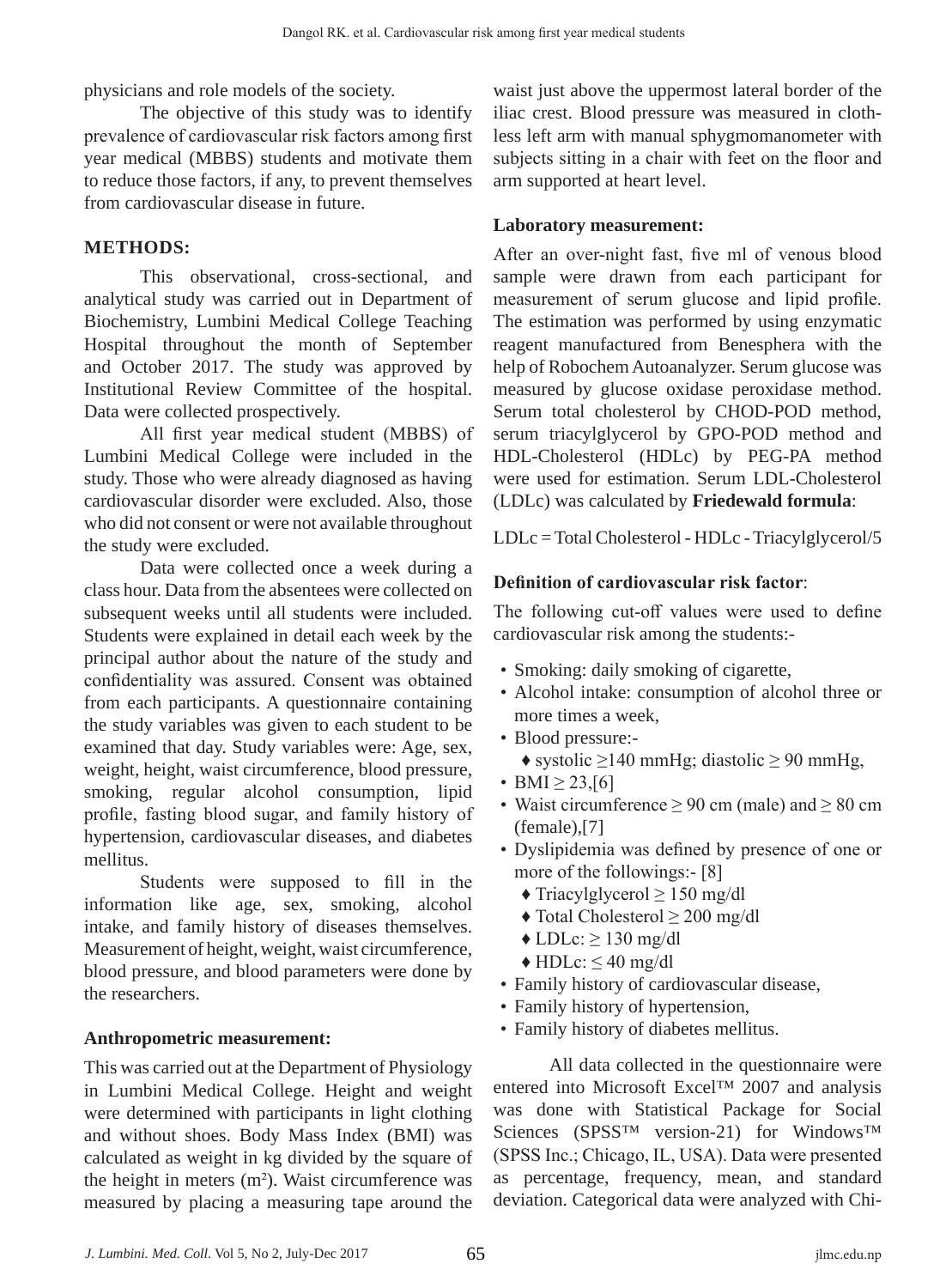physicians and role models of the society.

The objective of this study was to identify prevalence of cardiovascular risk factors among first year medical (MBBS) students and motivate them to reduce those factors, if any, to prevent themselves from cardiovascular disease in future.

# **METHODS:**

This observational, cross-sectional, and analytical study was carried out in Department of Biochemistry, Lumbini Medical College Teaching Hospital throughout the month of September and October 2017. The study was approved by Institutional Review Committee of the hospital. Data were collected prospectively.

All first year medical student (MBBS) of Lumbini Medical College were included in the study. Those who were already diagnosed as having cardiovascular disorder were excluded. Also, those who did not consent or were not available throughout the study were excluded.

Data were collected once a week during a class hour. Data from the absentees were collected on subsequent weeks until all students were included. Students were explained in detail each week by the principal author about the nature of the study and confidentiality was assured. Consent was obtained from each participants. A questionnaire containing the study variables was given to each student to be examined that day. Study variables were: Age, sex, weight, height, waist circumference, blood pressure, smoking, regular alcohol consumption, lipid profile, fasting blood sugar, and family history of hypertension, cardiovascular diseases, and diabetes mellitus.

Students were supposed to fill in the information like age, sex, smoking, alcohol intake, and family history of diseases themselves. Measurement of height, weight, waist circumference, blood pressure, and blood parameters were done by the researchers.

#### **Anthropometric measurement:**

This was carried out at the Department of Physiology in Lumbini Medical College. Height and weight were determined with participants in light clothing and without shoes. Body Mass Index (BMI) was calculated as weight in kg divided by the square of the height in meters (m<sup>2</sup>). Waist circumference was measured by placing a measuring tape around the

waist just above the uppermost lateral border of the iliac crest. Blood pressure was measured in clothless left arm with manual sphygmomanometer with subjects sitting in a chair with feet on the floor and arm supported at heart level.

## **Laboratory measurement:**

After an over-night fast, five ml of venous blood sample were drawn from each participant for measurement of serum glucose and lipid profile. The estimation was performed by using enzymatic reagent manufactured from Benesphera with the help of Robochem Autoanalyzer. Serum glucose was measured by glucose oxidase peroxidase method. Serum total cholesterol by CHOD-POD method, serum triacylglycerol by GPO-POD method and HDL-Cholesterol (HDLc) by PEG-PA method were used for estimation. Serum LDL-Cholesterol (LDLc) was calculated by **Friedewald formula**:

LDLc = Total Cholesterol - HDLc - Triacylglycerol/5

### **Definition of cardiovascular risk factor**:

The following cut-off values were used to define cardiovascular risk among the students:-

- Smoking: daily smoking of cigarette,
- Alcohol intake: consumption of alcohol three or more times a week,
- Blood pressure:-
	- ♦ systolic ≥140 mmHg; diastolic ≥ 90 mmHg,
- BMI  $\geq$  23,[6]
- Waist circumference  $\geq 90$  cm (male) and  $\geq 80$  cm (female),[7]
- Dyslipidemia was defined by presence of one or more of the followings:- [8]
	- $\triangle$  Triacylglycerol  $\geq 150$  mg/dl
	- ♦ Total Cholesterol ≥ 200 mg/dl
	- $\triangle$  LDLc:  $> 130$  mg/dl
	- $\triangle$  HDLc:  $\leq$  40 mg/dl
- Family history of cardiovascular disease,
- Family history of hypertension,
- Family history of diabetes mellitus.

All data collected in the questionnaire were entered into Microsoft Excel™ 2007 and analysis was done with Statistical Package for Social Sciences (SPSS™ version-21) for Windows™ (SPSS Inc.; Chicago, IL, USA). Data were presented as percentage, frequency, mean, and standard deviation. Categorical data were analyzed with Chi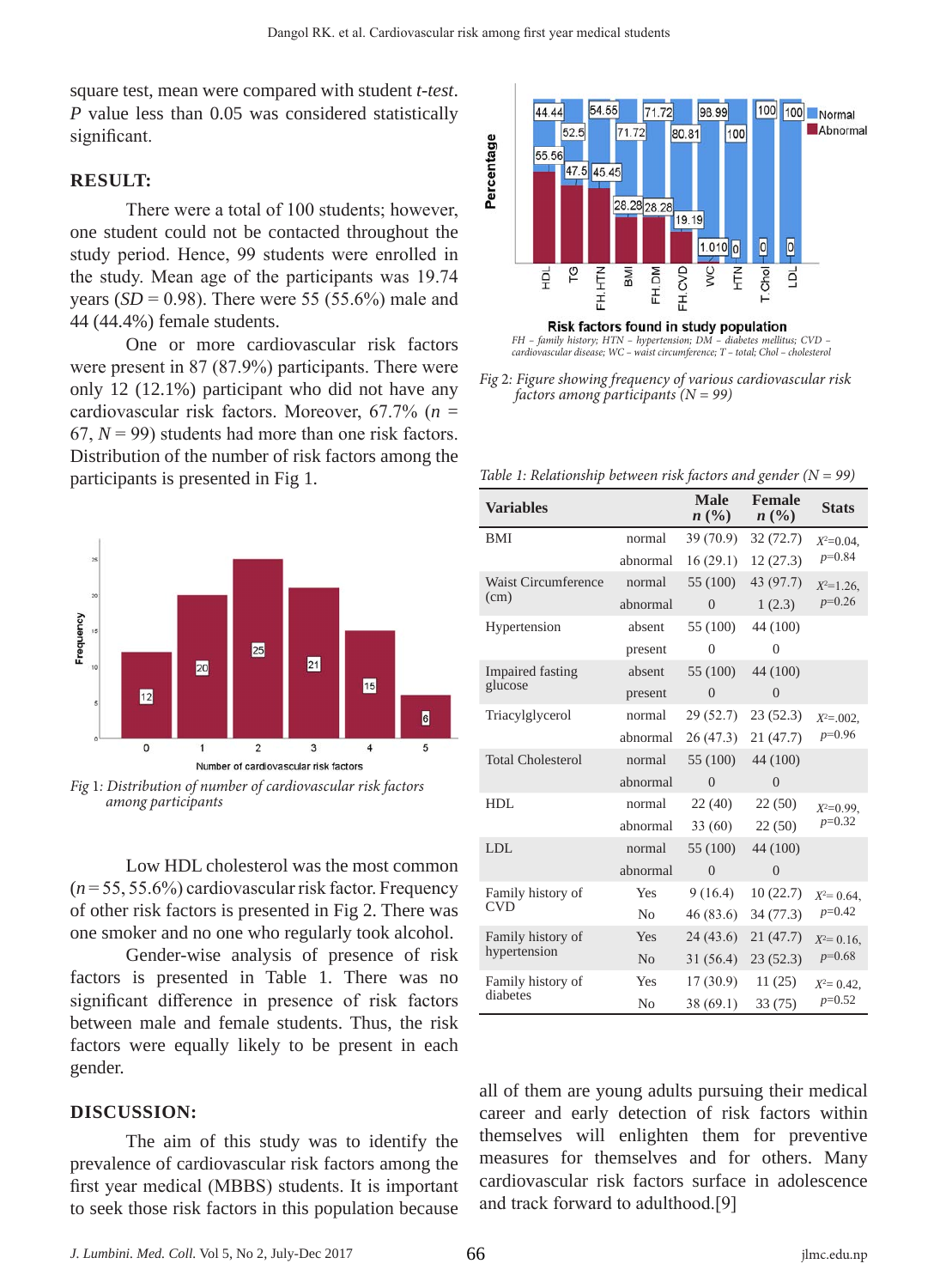square test, mean were compared with student *t-test*. *P* value less than 0.05 was considered statistically significant.

#### **RESULT:**

There were a total of 100 students; however, one student could not be contacted throughout the study period. Hence, 99 students were enrolled in the study. Mean age of the participants was 19.74 years (*SD* = 0.98). There were 55 (55.6%) male and 44 (44.4%) female students.

One or more cardiovascular risk factors were present in 87 (87.9%) participants. There were only 12 (12.1%) participant who did not have any cardiovascular risk factors. Moreover, 67.7% (*n* =  $67, N = 99$ ) students had more than one risk factors. Distribution of the number of risk factors among the participants is presented in Fig 1.



*Fig* 1*: Distribution of number of cardiovascular risk factors among participants*

Low HDL cholesterol was the most common (*n* = 55, 55.6%) cardiovascular risk factor. Frequency of other risk factors is presented in Fig 2. There was one smoker and no one who regularly took alcohol.

Gender-wise analysis of presence of risk factors is presented in Table 1. There was no significant difference in presence of risk factors between male and female students. Thus, the risk factors were equally likely to be present in each gender.

#### **DISCUSSION:**

The aim of this study was to identify the prevalence of cardiovascular risk factors among the first year medical (MBBS) students. It is important to seek those risk factors in this population because



*FH – family history; HTN – hypertension; DM – diabetes mellitus; CVD – cardiovascular disease; WC – waist circumference; T – total; Chol – cholesterol*

*Fig* 2*: Figure showing frequency of various cardiovascular risk factors among participants (N = 99)*

*Table 1: Relationship between risk factors and gender (N = 99)*

| <b>Variables</b>                   |                | <b>Male</b><br>$n\,(\%)$ | <b>Female</b><br>n (%) | <b>Stats</b>               |
|------------------------------------|----------------|--------------------------|------------------------|----------------------------|
| BMI                                | normal         | 39(70.9)                 | 32 (72.7)              | $X^2=0.04$ ,<br>$p=0.84$   |
|                                    | abnormal       | 16(29.1)                 | 12(27.3)               |                            |
| <b>Waist Circumference</b><br>(cm) | normal         | 55 (100)                 | 43 (97.7)              | $X^2 = 1.26$ ,<br>$p=0.26$ |
|                                    | abnormal       | $\theta$                 | 1(2.3)                 |                            |
| Hypertension                       | absent         | 55 (100)                 | 44 (100)               |                            |
|                                    | present        | $\theta$                 | $\Omega$               |                            |
| <b>Impaired fasting</b><br>glucose | absent         | 55 (100)                 | 44 (100)               |                            |
|                                    | present        | $\theta$                 | $\theta$               |                            |
| Triacylglycerol                    | normal         | 29(52.7)                 | 23 (52.3)              | $X^2 = 0.002$ .            |
|                                    | abnormal       | 26(47.3)                 | 21 (47.7)              | $p=0.96$                   |
| <b>Total Cholesterol</b>           | normal         | 55 (100)                 | 44 (100)               |                            |
|                                    | abnormal       | $\theta$                 | $\Omega$               |                            |
| HDL                                | normal         | 22(40)                   | 22(50)                 | $X^2=0.99$ .<br>$p=0.32$   |
|                                    | abnormal       | 33(60)                   | 22(50)                 |                            |
| <b>LDL</b>                         | normal         | 55 (100)                 | 44 (100)               |                            |
|                                    | abnormal       | $\overline{0}$           | $\overline{0}$         |                            |
| Family history of<br><b>CVD</b>    | <b>Yes</b>     | 9(16.4)                  | 10(22.7)               | $X^2 = 0.64$ ,             |
|                                    | No             | 46 (83.6)                | 34 (77.3)              | $p=0.42$                   |
| Family history of<br>hypertension  | Yes            | 24(43.6)                 | 21 (47.7)              | $X^2 = 0.16$ ,             |
|                                    | No             | 31(56.4)                 | 23(52.3)               | $p=0.68$                   |
| Family history of<br>diabetes      | Yes            | 17(30.9)                 | 11(25)                 | $X^2 = 0.42$ ,<br>$p=0.52$ |
|                                    | N <sub>0</sub> | 38(69.1)                 | 33(75)                 |                            |

all of them are young adults pursuing their medical career and early detection of risk factors within themselves will enlighten them for preventive measures for themselves and for others. Many cardiovascular risk factors surface in adolescence and track forward to adulthood.[9]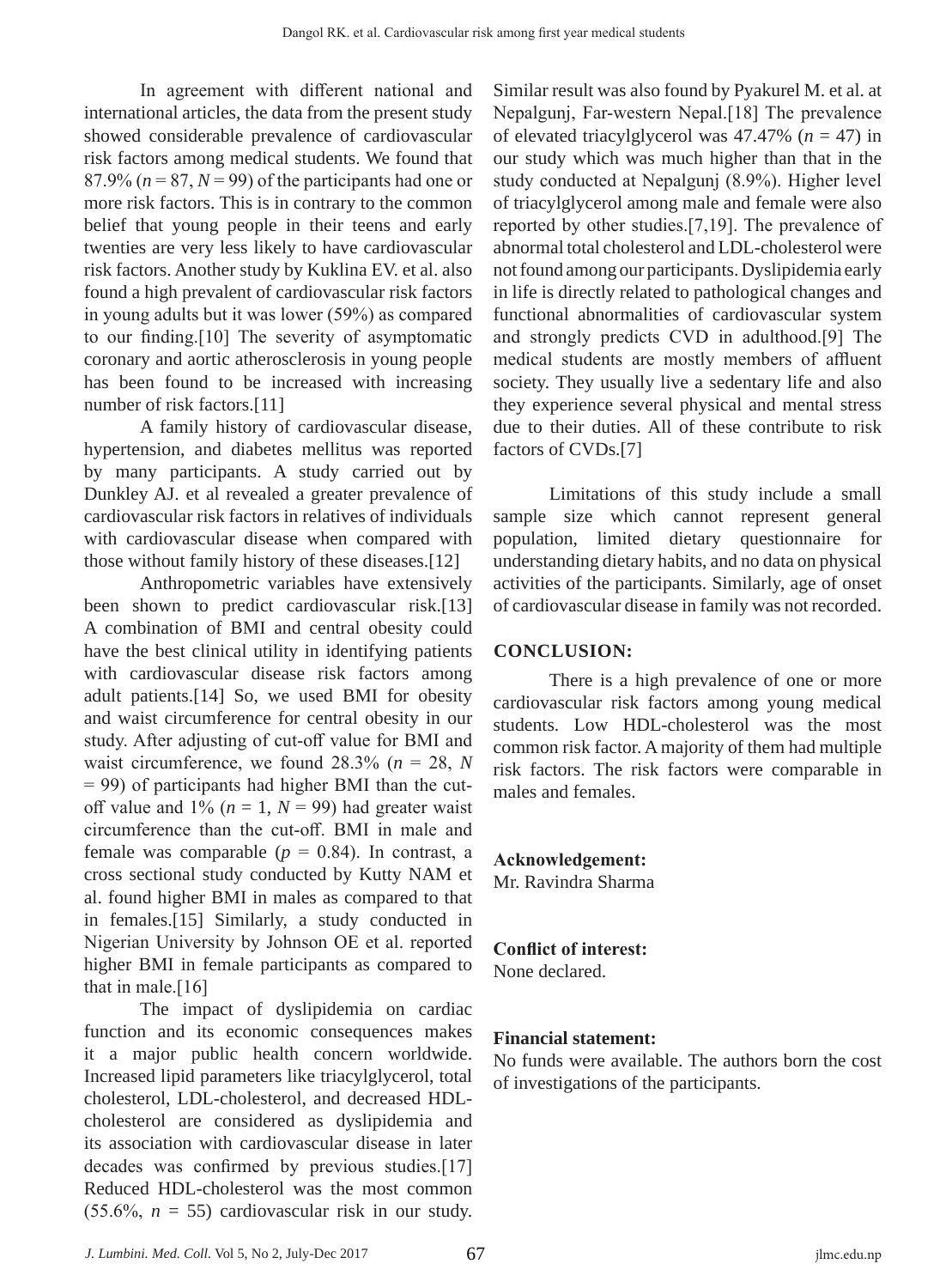In agreement with different national and international articles, the data from the present study showed considerable prevalence of cardiovascular risk factors among medical students. We found that  $87.9\%$  ( $n = 87$ ,  $N = 99$ ) of the participants had one or more risk factors. This is in contrary to the common belief that young people in their teens and early twenties are very less likely to have cardiovascular risk factors. Another study by Kuklina EV. et al. also found a high prevalent of cardiovascular risk factors in young adults but it was lower (59%) as compared to our finding.[10] The severity of asymptomatic coronary and aortic atherosclerosis in young people has been found to be increased with increasing number of risk factors.<sup>[11]</sup>

A family history of cardiovascular disease, hypertension, and diabetes mellitus was reported by many participants. A study carried out by Dunkley AJ. et al revealed a greater prevalence of cardiovascular risk factors in relatives of individuals with cardiovascular disease when compared with those without family history of these diseases.[12]

Anthropometric variables have extensively been shown to predict cardiovascular risk.[13] A combination of BMI and central obesity could have the best clinical utility in identifying patients with cardiovascular disease risk factors among adult patients.[14] So, we used BMI for obesity and waist circumference for central obesity in our study. After adjusting of cut-off value for BMI and waist circumference, we found  $28.3\%$  ( $n = 28$ , N  $= 99$ ) of participants had higher BMI than the cutoff value and  $1\%$  ( $n = 1$ ,  $N = 99$ ) had greater waist circumference than the cut-off. BMI in male and female was comparable  $(p = 0.84)$ . In contrast, a cross sectional study conducted by Kutty NAM et al. found higher BMI in males as compared to that in females.[15] Similarly, a study conducted in Nigerian University by Johnson OE et al. reported higher BMI in female participants as compared to that in male.<sup>[16]</sup>

The impact of dyslipidemia on cardiac function and its economic consequences makes it a major public health concern worldwide. Increased lipid parameters like triacylglycerol, total cholesterol, LDL-cholesterol, and decreased HDLcholesterol are considered as dyslipidemia and its association with cardiovascular disease in later decades was confirmed by previous studies.[17] Reduced HDL-cholesterol was the most common  $(55.6\%, n = 55)$  cardiovascular risk in our study.

Similar result was also found by Pyakurel M. et al. at Nepalgunj, Far-western Nepal.[18] The prevalence of elevated triacylglycerol was  $47.47\%$  ( $n = 47$ ) in our study which was much higher than that in the study conducted at Nepalgunj (8.9%). Higher level of triacylglycerol among male and female were also reported by other studies.[7,19]. The prevalence of abnormal total cholesterol and LDL-cholesterol were not found among our participants. Dyslipidemia early in life is directly related to pathological changes and functional abnormalities of cardiovascular system and strongly predicts CVD in adulthood.[9] The medical students are mostly members of affluent society. They usually live a sedentary life and also they experience several physical and mental stress due to their duties. All of these contribute to risk factors of CVDs.[7]

Limitations of this study include a small sample size which cannot represent general population, limited dietary questionnaire for understanding dietary habits, and no data on physical activities of the participants. Similarly, age of onset of cardiovascular disease in family was not recorded.

# **CONCLUSION:**

There is a high prevalence of one or more cardiovascular risk factors among young medical students. Low HDL-cholesterol was the most common risk factor. A majority of them had multiple risk factors. The risk factors were comparable in males and females.

# **Acknowledgement:**

Mr. Ravindra Sharma

#### **Conflict of interest:** None declared.

# **Financial statement:**

No funds were available. The authors born the cost of investigations of the participants.